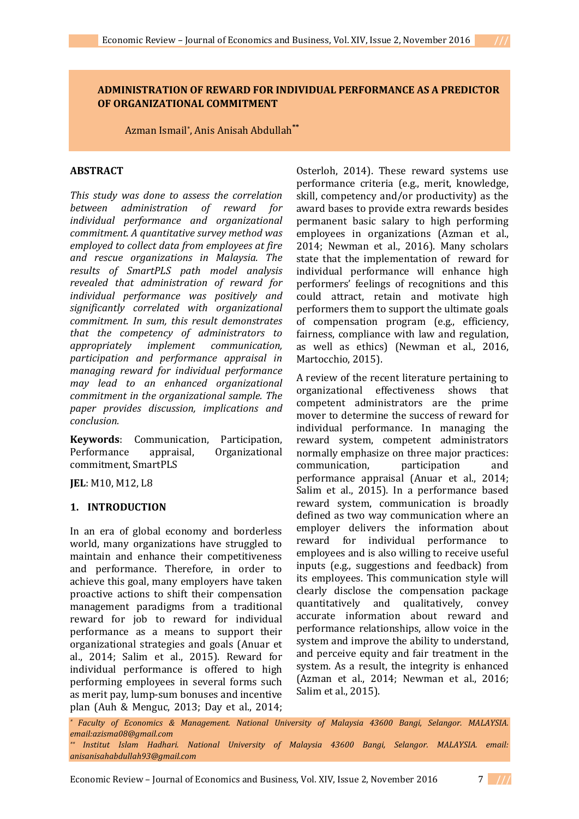## **ADMINISTRATION OF REWARD FOR INDIVIDUAL PERFORMANCE AS A PREDICTOR OF ORGANIZATIONAL COMMITMENT**

Azman Ismail\* , Anis Anisah Abdullah**\*\***

# **ABSTRACT**

*This study was done to assess the correlation between administration of reward for individual performance and organizational commitment. A quantitative survey method was employed to collect data from employees at fire and rescue organizations in Malaysia. The results of SmartPLS path model analysis revealed that administration of reward for individual performance was positively and significantly correlated with organizational commitment. In sum, this result demonstrates that the competency of administrators to appropriately implement communication, participation and performance appraisal in managing reward for individual performance may lead to an enhanced organizational commitment in the organizational sample. The paper provides discussion, implications and conclusion.*

**Keywords**: Communication, Participation, Performance appraisal, Organizational commitment, SmartPLS

**JEL**: M10, M12, L8

## **1. INTRODUCTION**

In an era of global economy and borderless world, many organizations have struggled to maintain and enhance their competitiveness and performance. Therefore, in order to achieve this goal, many employers have taken proactive actions to shift their compensation management paradigms from a traditional reward for job to reward for individual performance as a means to support their organizational strategies and goals (Anuar et al., 2014; Salim et al., 2015). Reward for individual performance is offered to high performing employees in several forms such as merit pay, lump-sum bonuses and incentive plan (Auh & Menguc, 2013; Day et al., 2014;

Osterloh, 2014). These reward systems use performance criteria (e.g., merit, knowledge, skill, competency and/or productivity) as the award bases to provide extra rewards besides permanent basic salary to high performing employees in organizations (Azman et al., 2014; Newman et al., 2016). Many scholars state that the implementation of reward for individual performance will enhance high performers' feelings of recognitions and this could attract, retain and motivate high performers them to support the ultimate goals of compensation program (e.g., efficiency, fairness, compliance with law and regulation, as well as ethics) (Newman et al., 2016, Martocchio, 2015).

A review of the recent literature pertaining to organizational effectiveness shows that competent administrators are the prime mover to determine the success of reward for individual performance. In managing the reward system, competent administrators normally emphasize on three major practices: communication, participation and performance appraisal (Anuar et al., 2014; Salim et al., 2015). In a performance based reward system, communication is broadly defined as two way communication where an employer delivers the information about reward for individual performance to employees and is also willing to receive useful inputs (e.g., suggestions and feedback) from its employees. This communication style will clearly disclose the compensation package quantitatively and qualitatively, convey accurate information about reward and performance relationships, allow voice in the system and improve the ability to understand, and perceive equity and fair treatment in the system. As a result, the integrity is enhanced (Azman et al., 2014; Newman et al., 2016; Salim et al., 2015).

*\* Faculty of Economics & Management. National University of Malaysia 43600 Bangi, Selangor. MALAYSIA. email:azisma08@gmail.com*

Economic Review – Journal of Economics and Business, Vol. XIV, Issue 2, November 2016 7 **///**

*<sup>\*\*</sup> Institut Islam Hadhari. National University of Malaysia 43600 Bangi, Selangor. MALAYSIA. email: anisanisahabdullah93@gmail.com*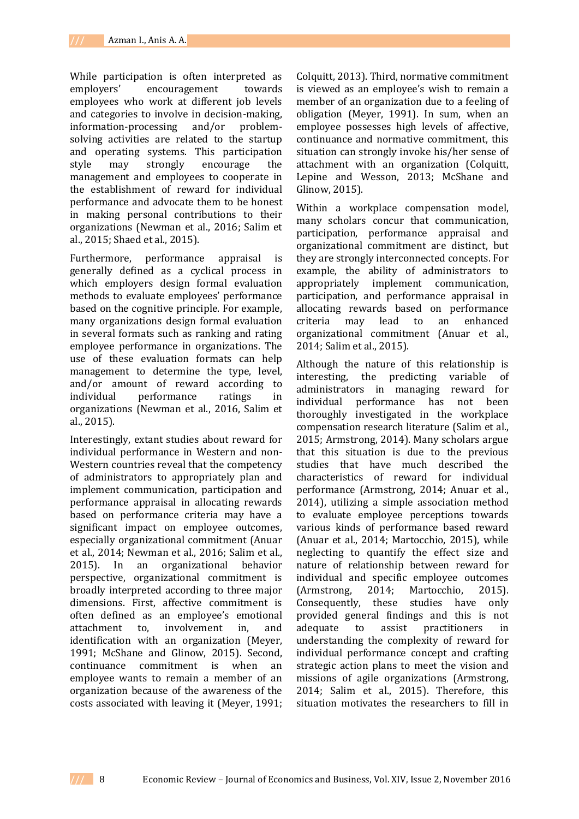While participation is often interpreted as employers' encouragement towards employees who work at different job levels and categories to involve in decision-making, information-processing and/or problemsolving activities are related to the startup and operating systems. This participation style may strongly encourage the management and employees to cooperate in the establishment of reward for individual performance and advocate them to be honest in making personal contributions to their organizations (Newman et al., 2016; Salim et al., 2015; Shaed et al., 2015).

Furthermore, performance appraisal is generally defined as a cyclical process in which employers design formal evaluation methods to evaluate employees' performance based on the cognitive principle. For example, many organizations design formal evaluation in several formats such as ranking and rating employee performance in organizations. The use of these evaluation formats can help management to determine the type, level, and/or amount of reward according to individual performance ratings in organizations (Newman et al., 2016, Salim et al., 2015).

Interestingly, extant studies about reward for individual performance in Western and non-Western countries reveal that the competency of administrators to appropriately plan and implement communication, participation and performance appraisal in allocating rewards based on performance criteria may have a significant impact on employee outcomes, especially organizational commitment (Anuar et al., 2014; Newman et al., 2016; Salim et al., 2015). In an organizational behavior perspective, organizational commitment is broadly interpreted according to three major dimensions. First, affective commitment is often defined as an employee's emotional attachment to, involvement in, and identification with an organization (Meyer, 1991; McShane and Glinow, 2015). Second, continuance commitment is when an employee wants to remain a member of an organization because of the awareness of the costs associated with leaving it (Meyer, 1991; Colquitt, 2013). Third, normative commitment is viewed as an employee's wish to remain a member of an organization due to a feeling of obligation (Meyer, 1991). In sum, when an employee possesses high levels of affective, continuance and normative commitment, this situation can strongly invoke his/her sense of attachment with an organization (Colquitt, Lepine and Wesson, 2013; McShane and Glinow, 2015).

Within a workplace compensation model, many scholars concur that communication, participation, performance appraisal and organizational commitment are distinct, but they are strongly interconnected concepts. For example, the ability of administrators to appropriately implement communication, participation, and performance appraisal in allocating rewards based on performance criteria may lead to an enhanced organizational commitment (Anuar et al., 2014; Salim et al., 2015).

Although the nature of this relationship is interesting, the predicting variable of administrators in managing reward for individual performance has not been thoroughly investigated in the workplace compensation research literature (Salim et al., 2015; Armstrong, 2014). Many scholars argue that this situation is due to the previous studies that have much described the characteristics of reward for individual performance (Armstrong, 2014; Anuar et al., 2014), utilizing a simple association method to evaluate employee perceptions towards various kinds of performance based reward (Anuar et al., 2014; Martocchio, 2015), while neglecting to quantify the effect size and nature of relationship between reward for individual and specific employee outcomes (Armstrong, 2014; Martocchio, 2015). Consequently, these studies have only provided general findings and this is not adequate to assist practitioners in understanding the complexity of reward for individual performance concept and crafting strategic action plans to meet the vision and missions of agile organizations (Armstrong, 2014; Salim et al., 2015). Therefore, this situation motivates the researchers to fill in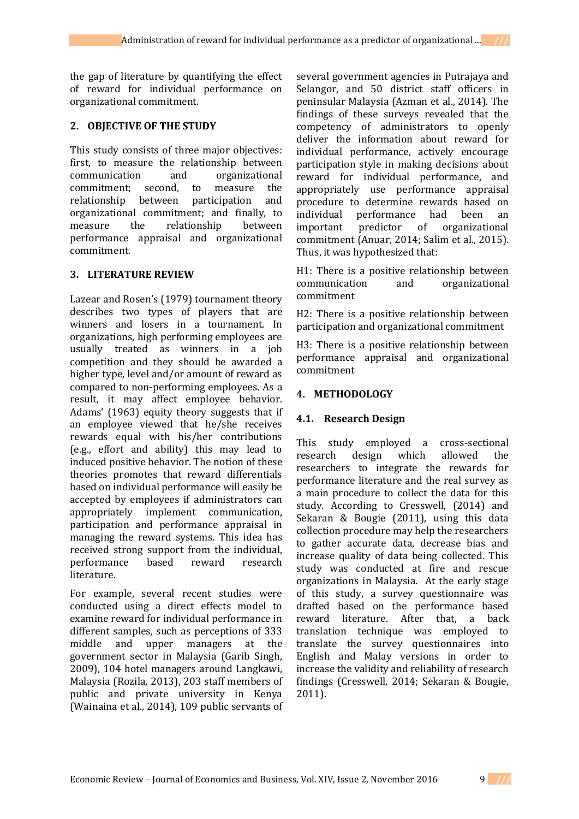the gap of literature by quantifying the effect of reward for individual performance on organizational commitment.

### **2. OBJECTIVE OF THE STUDY**

This study consists of three major objectives: first, to measure the relationship between communication and organizational commitment; second, to measure the relationship between participation and organizational commitment; and finally, to measure the relationship between performance appraisal and organizational commitment.

## **3. LITERATURE REVIEW**

Lazear and Rosen's (1979) tournament theory describes two types of players that are winners and losers in a tournament. In organizations, high performing employees are usually treated as winners in a job competition and they should be awarded a higher type, level and/or amount of reward as compared to non-performing employees. As a result, it may affect employee behavior. Adams' (1963) equity theory suggests that if an employee viewed that he/she receives rewards equal with his/her contributions (e.g., effort and ability) this may lead to induced positive behavior. The notion of these theories promotes that reward differentials based on individual performance will easily be accepted by employees if administrators can appropriately implement communication, participation and performance appraisal in managing the reward systems. This idea has received strong support from the individual, performance based reward research literature.

For example, several recent studies were conducted using a direct effects model to examine reward for individual performance in different samples, such as perceptions of 333 middle and upper managers at the government sector in Malaysia (Garib Singh, 2009), 104 hotel managers around Langkawi, Malaysia (Rozila, 2013), 203 staff members of public and private university in Kenya (Wainaina et al., 2014), 109 public servants of several government agencies in Putrajaya and Selangor, and 50 district staff officers in peninsular Malaysia (Azman et al., 2014). The findings of these surveys revealed that the competency of administrators to openly deliver the information about reward for individual performance, actively encourage participation style in making decisions about reward for individual performance, and appropriately use performance appraisal procedure to determine rewards based on individual performance had been an important predictor of organizational commitment (Anuar, 2014; Salim et al., 2015). Thus, it was hypothesized that:

H1: There is a positive relationship between communication and organizational commitment

H2: There is a positive relationship between participation and organizational commitment

H3: There is a positive relationship between performance appraisal and organizational commitment

## **4. METHODOLOGY**

## **4.1. Research Design**

This study employed a cross-sectional research design which allowed the researchers to integrate the rewards for performance literature and the real survey as a main procedure to collect the data for this study. According to Cresswell, (2014) and Sekaran & Bougie (2011), using this data collection procedure may help the researchers to gather accurate data, decrease bias and increase quality of data being collected. This study was conducted at fire and rescue organizations in Malaysia. At the early stage of this study, a survey questionnaire was drafted based on the performance based reward literature. After that, a back translation technique was employed to translate the survey questionnaires into English and Malay versions in order to increase the validity and reliability of research findings (Cresswell, 2014; Sekaran & Bougie, 2011).

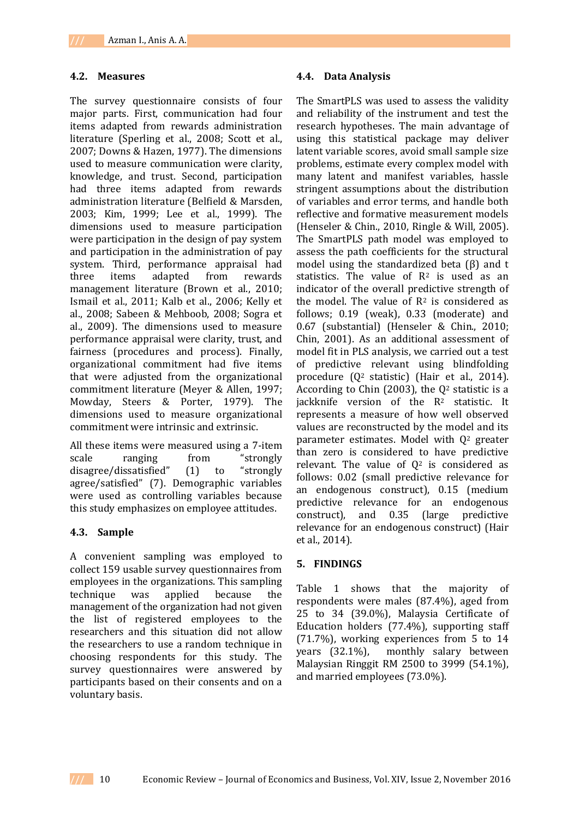#### **4.2. Measures**

The survey questionnaire consists of four major parts. First, communication had four items adapted from rewards administration literature (Sperling et al., 2008; Scott et al., 2007; Downs & Hazen, 1977). The dimensions used to measure communication were clarity, knowledge, and trust. Second, participation had three items adapted from rewards administration literature (Belfield & Marsden, 2003; Kim, 1999; Lee et al., 1999). The dimensions used to measure participation were participation in the design of pay system and participation in the administration of pay system. Third, performance appraisal had three items adapted from rewards management literature (Brown et al., 2010; Ismail et al., 2011; Kalb et al., 2006; Kelly et al., 2008; Sabeen & Mehboob, 2008; Sogra et al., 2009). The dimensions used to measure performance appraisal were clarity, trust, and fairness (procedures and process). Finally, organizational commitment had five items that were adjusted from the organizational commitment literature (Meyer & Allen, 1997; Mowday, Steers & Porter, 1979). The dimensions used to measure organizational commitment were intrinsic and extrinsic.

All these items were measured using a 7-item scale ranging from "strongly disagree/dissatisfied" (1) to "strongly agree/satisfied" (7). Demographic variables were used as controlling variables because this study emphasizes on employee attitudes.

#### **4.3. Sample**

A convenient sampling was employed to collect 159 usable survey questionnaires from employees in the organizations. This sampling technique was applied because the management of the organization had not given the list of registered employees to the researchers and this situation did not allow the researchers to use a random technique in choosing respondents for this study. The survey questionnaires were answered by participants based on their consents and on a voluntary basis.

#### **4.4. Data Analysis**

The SmartPLS was used to assess the validity and reliability of the instrument and test the research hypotheses. The main advantage of using this statistical package may deliver latent variable scores, avoid small sample size problems, estimate every complex model with many latent and manifest variables, hassle stringent assumptions about the distribution of variables and error terms, and handle both reflective and formative measurement models (Henseler & Chin., 2010, Ringle & Will, 2005). The SmartPLS path model was employed to assess the path coefficients for the structural model using the standardized beta (β) and t statistics. The value of  $R<sup>2</sup>$  is used as an indicator of the overall predictive strength of the model. The value of  $R<sup>2</sup>$  is considered as follows; 0.19 (weak), 0.33 (moderate) and 0.67 (substantial) (Henseler & Chin., 2010; Chin, 2001). As an additional assessment of model fit in PLS analysis, we carried out a test of predictive relevant using blindfolding procedure (Q<sup>2</sup> statistic) (Hair et al., 2014). According to Chin  $(2003)$ , the  $0<sup>2</sup>$  statistic is a jackknife version of the R<sup>2</sup> statistic. It represents a measure of how well observed values are reconstructed by the model and its parameter estimates. Model with  $Q<sup>2</sup>$  greater than zero is considered to have predictive relevant. The value of  $Q^2$  is considered as follows: 0.02 (small predictive relevance for an endogenous construct), 0.15 (medium predictive relevance for an endogenous construct), and 0.35 (large predictive relevance for an endogenous construct) (Hair et al., 2014).

#### **5. FINDINGS**

Table 1 shows that the majority of respondents were males (87.4%), aged from 25 to 34 (39.0%), Malaysia Certificate of Education holders (77.4%), supporting staff (71.7%), working experiences from 5 to 14 years (32.1%), monthly salary between Malaysian Ringgit RM 2500 to 3999 (54.1%), and married employees (73.0%).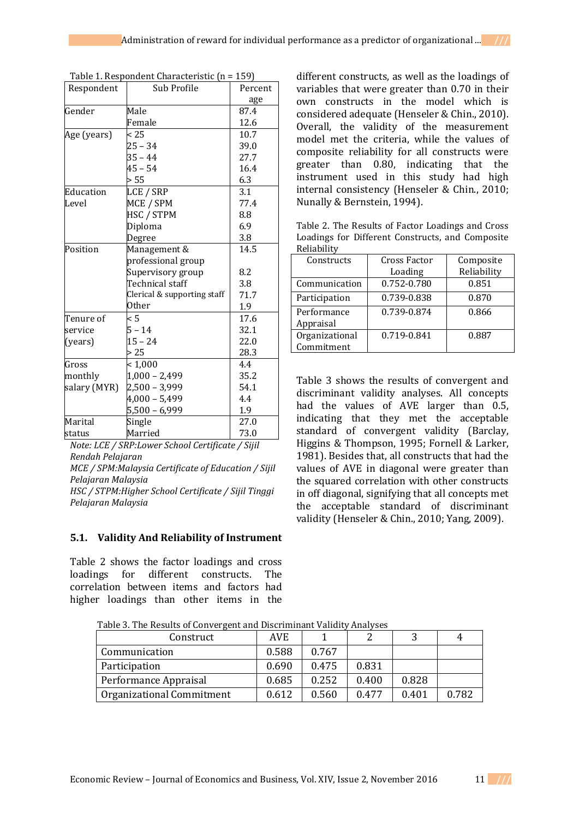|  | Table 1. Respondent Characteristic (n = 159) |  |  |
|--|----------------------------------------------|--|--|
|--|----------------------------------------------|--|--|

| Respondent   | Sub Profile                 | Percent |
|--------------|-----------------------------|---------|
|              |                             | age     |
| Gender       | Male                        | 87.4    |
|              | Female                      | 12.6    |
| Age (years)  | < 25                        | 10.7    |
|              | $25 - 34$                   | 39.0    |
|              | $35 - 44$                   | 27.7    |
|              | $45 - 54$                   | 16.4    |
|              | > 55                        | 6.3     |
| Education    | LCE / SRP                   | 3.1     |
| Level        | MCE / SPM                   | 77.4    |
|              | HSC / STPM                  | 8.8     |
|              | Diploma                     | 6.9     |
|              | Degree                      | 3.8     |
| Position     | Management &                | 14.5    |
|              | professional group          |         |
|              | Supervisory group           | 8.2     |
|              | Technical staff             | 3.8     |
|              | Clerical & supporting staff | 71.7    |
|              | Other                       | 1.9     |
| Tenure of    | < 5                         | 17.6    |
| service      | $5 - 14$                    | 32.1    |
| (years)      | $15 - 24$                   | 22.0    |
|              | > 25                        | 28.3    |
| Gross        | < 1,000                     | 4.4     |
| monthly      | $1,000 - 2,499$             | 35.2    |
| salary (MYR) | $2,500 - 3,999$             | 54.1    |
|              | $4,000 - 5,499$             | 4.4     |
|              | $5,500 - 6,999$             | 1.9     |
| Marital      | Single                      | 27.0    |
| status       | Married                     | 73.0    |

*Note: LCE / SRP:Lower School Certificate / Sijil Rendah Pelajaran MCE / SPM:Malaysia Certificate of Education / Sijil* 

*Pelajaran Malaysia HSC / STPM:Higher School Certificate / Sijil Tinggi Pelajaran Malaysia*

#### **5.1. Validity And Reliability of Instrument**

Table 2 shows the factor loadings and cross loadings for different constructs. The correlation between items and factors had higher loadings than other items in the

different constructs, as well as the loadings of variables that were greater than 0.70 in their own constructs in the model which is considered adequate (Henseler & Chin., 2010). Overall, the validity of the measurement model met the criteria, while the values of composite reliability for all constructs were greater than 0.80, indicating that the instrument used in this study had high internal consistency (Henseler & Chin., 2010; Nunally & Bernstein, 1994).

Table 2. The Results of Factor Loadings and Cross Loadings for Different Constructs, and Composite Reliability

| Constructs                   | Cross Factor | Composite   |
|------------------------------|--------------|-------------|
|                              | Loading      | Reliability |
| Communication                | 0.752-0.780  | 0.851       |
| Participation                | 0.739-0.838  | 0.870       |
| Performance<br>Appraisal     | 0.739-0.874  | 0.866       |
| Organizational<br>Commitment | 0.719-0.841  | 0.887       |

Table 3 shows the results of convergent and discriminant validity analyses. All concepts had the values of AVE larger than 0.5, indicating that they met the acceptable standard of convergent validity (Barclay, Higgins & Thompson, 1995; Fornell & Larker, 1981). Besides that, all constructs that had the values of AVE in diagonal were greater than the squared correlation with other constructs in off diagonal, signifying that all concepts met the acceptable standard of discriminant validity (Henseler & Chin., 2010; Yang, 2009).

| Construct                 | <b>AVE</b> |       |       |       | 4     |
|---------------------------|------------|-------|-------|-------|-------|
| Communication             | 0.588      | 0.767 |       |       |       |
| Participation             | 0.690      | 0.475 | 0.831 |       |       |
| Performance Appraisal     | 0.685      | 0.252 | 0.400 | 0.828 |       |
| Organizational Commitment | 0.612      | 0.560 | 0.477 | 0.401 | 0.782 |

Table 3. The Results of Convergent and Discriminant Validity Analyses

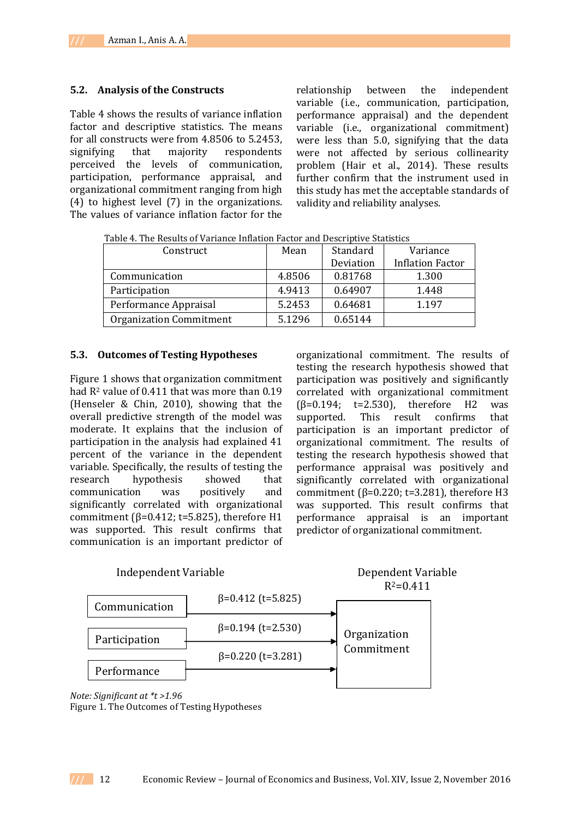#### **5.2. Analysis of the Constructs**

Table 4 shows the results of variance inflation factor and descriptive statistics. The means for all constructs were from 4.8506 to 5.2453, signifying that majority respondents perceived the levels of communication, participation, performance appraisal, and organizational commitment ranging from high (4) to highest level (7) in the organizations. The values of variance inflation factor for the relationship between the independent variable (i.e., communication, participation, performance appraisal) and the dependent variable (i.e., organizational commitment) were less than 5.0, signifying that the data were not affected by serious collinearity problem (Hair et al., 2014). These results further confirm that the instrument used in this study has met the acceptable standards of validity and reliability analyses.

| Construct                      | Mean   | Standard  | Variance                |  |
|--------------------------------|--------|-----------|-------------------------|--|
|                                |        | Deviation | <b>Inflation Factor</b> |  |
| Communication                  | 4.8506 | 0.81768   | 1.300                   |  |
| Participation                  | 4.9413 | 0.64907   | 1.448                   |  |
| Performance Appraisal          | 5.2453 | 0.64681   | 1.197                   |  |
| <b>Organization Commitment</b> | 5.1296 | 0.65144   |                         |  |

Table 4. The Results of Variance Inflation Factor and Descriptive Statistics

#### **5.3. Outcomes of Testing Hypotheses**

Figure 1 shows that organization commitment had R<sup>2</sup> value of 0.411 that was more than 0.19 (Henseler & Chin, 2010), showing that the overall predictive strength of the model was moderate. It explains that the inclusion of participation in the analysis had explained 41 percent of the variance in the dependent variable. Specifically, the results of testing the research hypothesis showed that communication was positively and significantly correlated with organizational commitment ( $β=0.412$ ; t=5.825), therefore H1 was supported. This result confirms that communication is an important predictor of

organizational commitment. The results of testing the research hypothesis showed that participation was positively and significantly correlated with organizational commitment  $(β=0.194; t=2.530)$ , therefore H2 was supported. This result confirms that participation is an important predictor of organizational commitment. The results of testing the research hypothesis showed that performance appraisal was positively and significantly correlated with organizational commitment ( $β=0.220$ ; t=3.281), therefore H3 was supported. This result confirms that performance appraisal is an important predictor of organizational commitment.



*Note: Significant at \*t >1.96* Figure 1. The Outcomes of Testing Hypotheses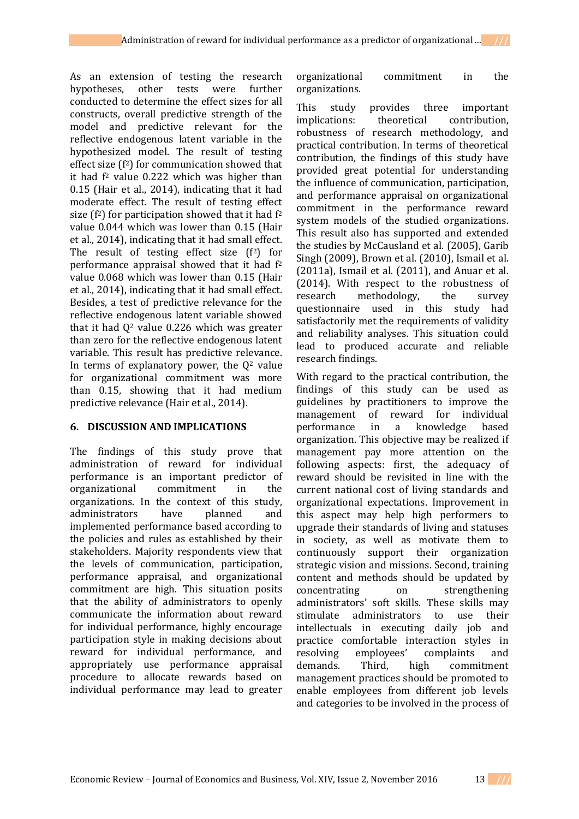As an extension of testing the research hypotheses, other tests were further conducted to determine the effect sizes for all constructs, overall predictive strength of the model and predictive relevant for the reflective endogenous latent variable in the hypothesized model. The result of testing effect size  $(f^2)$  for communication showed that it had  $f<sup>2</sup>$  value 0.222 which was higher than 0.15 (Hair et al., 2014), indicating that it had moderate effect. The result of testing effect size  $(f^2)$  for participation showed that it had  $f^2$ value 0.044 which was lower than 0.15 (Hair et al., 2014), indicating that it had small effect. The result of testing effect size  $(f<sup>2</sup>)$  for performance appraisal showed that it had f<sup>2</sup> value 0.068 which was lower than 0.15 (Hair et al., 2014), indicating that it had small effect. Besides, a test of predictive relevance for the reflective endogenous latent variable showed that it had  $0^2$  value 0.226 which was greater than zero for the reflective endogenous latent variable. This result has predictive relevance. In terms of explanatory power, the  $Q<sup>2</sup>$  value for organizational commitment was more than 0.15, showing that it had medium predictive relevance (Hair et al., 2014).

### **6. DISCUSSION AND IMPLICATIONS**

The findings of this study prove that administration of reward for individual performance is an important predictor of organizational commitment in the organizations. In the context of this study, administrators have planned and implemented performance based according to the policies and rules as established by their stakeholders. Majority respondents view that the levels of communication, participation, performance appraisal, and organizational commitment are high. This situation posits that the ability of administrators to openly communicate the information about reward for individual performance, highly encourage participation style in making decisions about reward for individual performance, and appropriately use performance appraisal procedure to allocate rewards based on individual performance may lead to greater

organizational commitment in the organizations.

This study provides three important implications: theoretical contribution, robustness of research methodology, and practical contribution. In terms of theoretical contribution, the findings of this study have provided great potential for understanding the influence of communication, participation, and performance appraisal on organizational commitment in the performance reward system models of the studied organizations. This result also has supported and extended the studies by McCausland et al. (2005), Garib Singh (2009), Brown et al. (2010), Ismail et al. (2011a), Ismail et al. (2011), and Anuar et al. (2014). With respect to the robustness of research methodology, the survey questionnaire used in this study had satisfactorily met the requirements of validity and reliability analyses. This situation could lead to produced accurate and reliable research findings.

With regard to the practical contribution, the findings of this study can be used as guidelines by practitioners to improve the management of reward for individual performance in a knowledge based organization. This objective may be realized if management pay more attention on the following aspects: first, the adequacy of reward should be revisited in line with the current national cost of living standards and organizational expectations. Improvement in this aspect may help high performers to upgrade their standards of living and statuses in society, as well as motivate them to continuously support their organization strategic vision and missions. Second, training content and methods should be updated by concentrating on strengthening administrators' soft skills. These skills may stimulate administrators to use their intellectuals in executing daily job and practice comfortable interaction styles in resolving employees' complaints and demands. Third, high commitment management practices should be promoted to enable employees from different job levels and categories to be involved in the process of

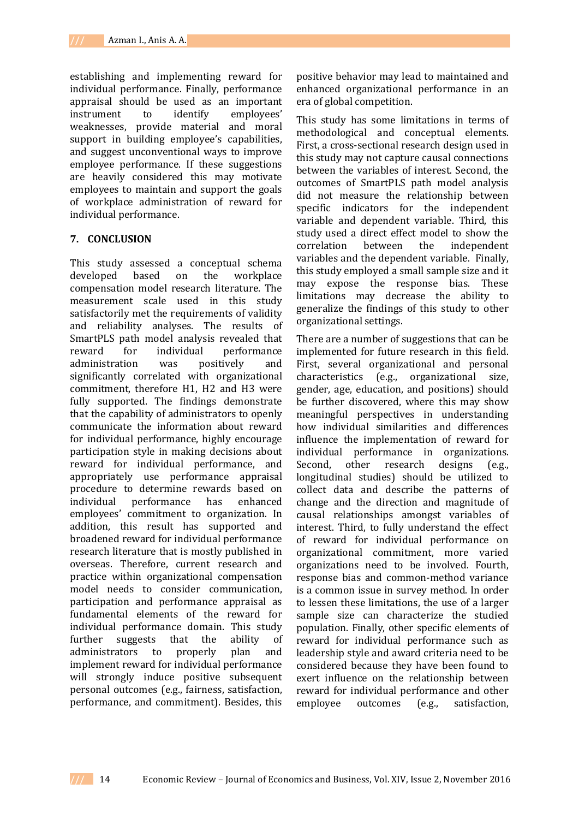establishing and implementing reward for individual performance. Finally, performance appraisal should be used as an important instrument to identify employees' weaknesses, provide material and moral support in building employee's capabilities, and suggest unconventional ways to improve employee performance. If these suggestions are heavily considered this may motivate employees to maintain and support the goals of workplace administration of reward for individual performance.

### **7. CONCLUSION**

This study assessed a conceptual schema developed based on the workplace compensation model research literature. The measurement scale used in this study satisfactorily met the requirements of validity and reliability analyses. The results of SmartPLS path model analysis revealed that reward for individual performance administration was positively and significantly correlated with organizational commitment, therefore H1, H2 and H3 were fully supported. The findings demonstrate that the capability of administrators to openly communicate the information about reward for individual performance, highly encourage participation style in making decisions about reward for individual performance, and appropriately use performance appraisal procedure to determine rewards based on individual performance has enhanced employees' commitment to organization. In addition, this result has supported and broadened reward for individual performance research literature that is mostly published in overseas. Therefore, current research and practice within organizational compensation model needs to consider communication, participation and performance appraisal as fundamental elements of the reward for individual performance domain. This study further suggests that the ability of administrators to properly plan and implement reward for individual performance will strongly induce positive subsequent personal outcomes (e.g., fairness, satisfaction, performance, and commitment). Besides, this

positive behavior may lead to maintained and enhanced organizational performance in an era of global competition.

This study has some limitations in terms of methodological and conceptual elements. First, a cross-sectional research design used in this study may not capture causal connections between the variables of interest. Second, the outcomes of SmartPLS path model analysis did not measure the relationship between specific indicators for the independent variable and dependent variable. Third, this study used a direct effect model to show the correlation between the independent variables and the dependent variable. Finally, this study employed a small sample size and it may expose the response bias. These limitations may decrease the ability to generalize the findings of this study to other organizational settings.

There are a number of suggestions that can be implemented for future research in this field. First, several organizational and personal characteristics (e.g., organizational size, gender, age, education, and positions) should be further discovered, where this may show meaningful perspectives in understanding how individual similarities and differences influence the implementation of reward for individual performance in organizations. Second, other research designs (e.g., longitudinal studies) should be utilized to collect data and describe the patterns of change and the direction and magnitude of causal relationships amongst variables of interest. Third, to fully understand the effect of reward for individual performance on organizational commitment, more varied organizations need to be involved. Fourth, response bias and common-method variance is a common issue in survey method. In order to lessen these limitations, the use of a larger sample size can characterize the studied population. Finally, other specific elements of reward for individual performance such as leadership style and award criteria need to be considered because they have been found to exert influence on the relationship between reward for individual performance and other employee outcomes (e.g., satisfaction,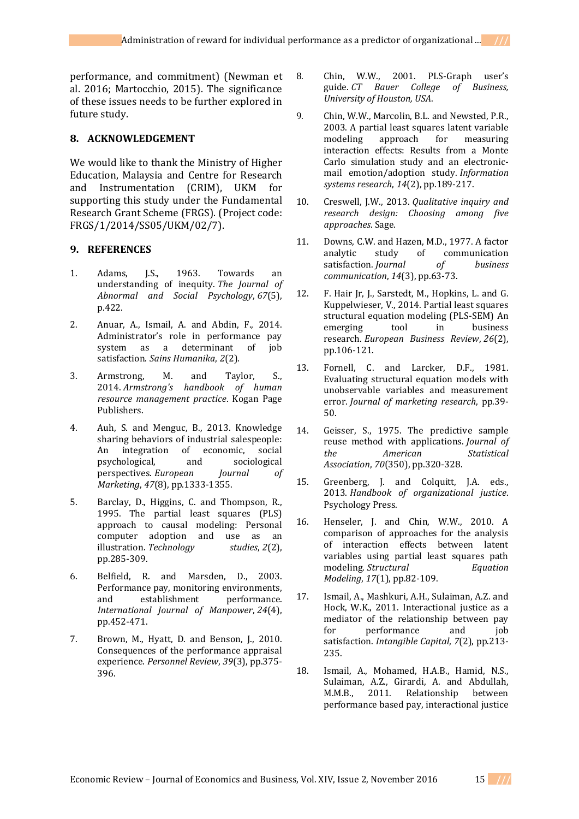performance, and commitment) (Newman et al. 2016; Martocchio, 2015). The significance of these issues needs to be further explored in future study.

### **8. ACKNOWLEDGEMENT**

We would like to thank the Ministry of Higher Education, Malaysia and Centre for Research and Instrumentation (CRIM), UKM for supporting this study under the Fundamental Research Grant Scheme (FRGS). (Project code: FRGS/1/2014/SS05/UKM/02/7).

### **9. REFERENCES**

- 1. Adams, J.S., 1963. Towards an understanding of inequity. *The Journal of Abnormal and Social Psychology*, *67*(5), p.422.
- 2. Anuar, A., Ismail, A. and Abdin, F., 2014. Administrator's role in performance pay system as a determinant of job satisfaction. *Sains Humanika*, *2*(2).
- 3. Armstrong, M. and Taylor, S., 2014. *Armstrong's handbook of human resource management practice*. Kogan Page Publishers.
- 4. Auh, S. and Menguc, B., 2013. Knowledge sharing behaviors of industrial salespeople: An integration of economic, social psychological, and sociological perspectives. *European Journal of Marketing*, *47*(8), pp.1333-1355.
- 5. Barclay, D., Higgins, C. and Thompson, R., 1995. The partial least squares (PLS) approach to causal modeling: Personal computer adoption and use as an illustration. *Technology studies*, *2*(2), pp.285-309.
- 6. Belfield, R. and Marsden, D., 2003. Performance pay, monitoring environments, and establishment performance. *International Journal of Manpower*, *24*(4), pp.452-471.
- 7. Brown, M., Hyatt, D. and Benson, J., 2010. Consequences of the performance appraisal experience. *Personnel Review*, *39*(3), pp.375- 396.
- 8. Chin, W.W., 2001. PLS-Graph user's guide. *CT Bauer College of Business, University of Houston, USA*.
- 9. Chin, W.W., Marcolin, B.L. and Newsted, P.R., 2003. A partial least squares latent variable modeling approach for measuring interaction effects: Results from a Monte Carlo simulation study and an electronicmail emotion/adoption study. *Information systems research*, *14*(2), pp.189-217.
- 10. Creswell, J.W., 2013. *Qualitative inquiry and research design: Choosing among five approaches*. Sage.
- 11. Downs, C.W. and Hazen, M.D., 1977. A factor analytic study of communication satisfaction. *Journal of business communication*, *14*(3), pp.63-73.
- 12. F. Hair Jr, J., Sarstedt, M., Hopkins, L. and G. Kuppelwieser, V., 2014. Partial least squares structural equation modeling (PLS-SEM) An emerging tool in business research. *European Business Review*, *26*(2), pp.106-121.
- 13. Fornell, C. and Larcker, D.F., 1981. Evaluating structural equation models with unobservable variables and measurement error. *Journal of marketing research*, pp.39- 50.
- 14. Geisser, S., 1975. The predictive sample reuse method with applications. *Journal of the American Statistical Association*, *70*(350), pp.320-328.
- 15. Greenberg, J. and Colquitt, J.A. eds., 2013. *Handbook of organizational justice*. Psychology Press.
- 16. Henseler, J. and Chin, W.W., 2010. A comparison of approaches for the analysis of interaction effects between latent variables using partial least squares path modeling. *Structural Equation Modeling*, *17*(1), pp.82-109.
- 17. Ismail, A., Mashkuri, A.H., Sulaiman, A.Z. and Hock, W.K., 2011. Interactional justice as a mediator of the relationship between pay for performance and job satisfaction. *Intangible Capital*, *7*(2), pp.213- 235.
- 18. Ismail, A., Mohamed, H.A.B., Hamid, N.S., Sulaiman, A.Z., Girardi, A. and Abdullah, M.M.B., 2011. Relationship between performance based pay, interactional justice

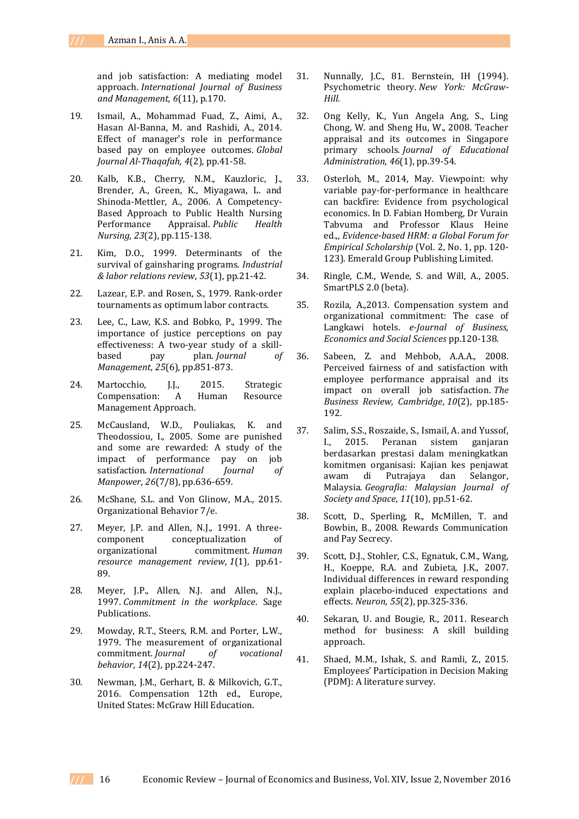and job satisfaction: A mediating model approach. *International Journal of Business and Management*, *6*(11), p.170.

- 19. Ismail, A., Mohammad Fuad, Z., Aimi, A., Hasan Al-Banna, M. and Rashidi, A., 2014. Effect of manager's role in performance based pay on employee outcomes. *Global Journal Al-Thaqafah*, *4*(2), pp.41-58.
- 20. Kalb, K.B., Cherry, N.M., Kauzloric, J., Brender, A., Green, K., Miyagawa, L. and Shinoda‐Mettler, A., 2006. A Competency‐ Based Approach to Public Health Nursing Performance Appraisal. *Public Health Nursing*, *23*(2), pp.115-138.
- 21. Kim, D.O., 1999. Determinants of the survival of gainsharing programs. *Industrial & labor relations review*, *53*(1), pp.21-42.
- 22. Lazear, E.P. and Rosen, S., 1979. Rank-order tournaments as optimum labor contracts.
- 23. Lee, C., Law, K.S. and Bobko, P., 1999. The importance of justice perceptions on pay effectiveness: A two-year study of a skillbased pay plan. *Journal of Management*, *25*(6), pp.851-873.
- 24. Martocchio, J.J., 2015. Strategic Compensation: A Human Resource Management Approach.
- 25. McCausland, W.D., Pouliakas, K. and Theodossiou, I., 2005. Some are punished and some are rewarded: A study of the impact of performance pay on job satisfaction. *International Journal of Manpower*, *26*(7/8), pp.636-659.
- 26. McShane, S.L. and Von Glinow, M.A., 2015. Organizational Behavior 7/e.
- 27. Meyer, J.P. and Allen, N.J., 1991. A threecomponent conceptualization of organizational commitment. *Human resource management review*, *1*(1), pp.61- 89.
- 28. Meyer, J.P., Allen, N.J. and Allen, N.J., 1997. *Commitment in the workplace*. Sage Publications.
- 29. Mowday, R.T., Steers, R.M. and Porter, L.W., 1979. The measurement of organizational commitment. *Journal of vocational behavior*, *14*(2), pp.224-247.
- 30. Newman, J.M., Gerhart, B. & Milkovich, G.T., 2016. Compensation 12th ed., Europe, United States: McGraw Hill Education.
- 31. Nunnally, J.C., 81. Bernstein, IH (1994). Psychometric theory. *New York: McGraw-Hill*.
- 32. Ong Kelly, K., Yun Angela Ang, S., Ling Chong, W. and Sheng Hu, W., 2008. Teacher appraisal and its outcomes in Singapore primary schools. *Journal of Educational Administration*, *46*(1), pp.39-54.
- 33. Osterloh, M., 2014, May. Viewpoint: why variable pay-for-performance in healthcare can backfire: Evidence from psychological economics. In D. Fabian Homberg, Dr Vurain Tabvuma and Professor Klaus Heine ed.,, *Evidence-based HRM: a Global Forum for Empirical Scholarship* (Vol. 2, No. 1, pp. 120- 123). Emerald Group Publishing Limited.
- 34. Ringle, C.M., Wende, S. and Will, A., 2005. SmartPLS 2.0 (beta).
- 35. Rozila, A.,2013. Compensation system and organizational commitment: The case of Langkawi hotels. *e-Journal of Business, Economics and Social Sciences* pp.120-138.
- 36. Sabeen, Z. and Mehbob, A.A.A., 2008. Perceived fairness of and satisfaction with employee performance appraisal and its impact on overall job satisfaction. *The Business Review, Cambridge*, *10*(2), pp.185- 192.
- 37. Salim, S.S., Roszaide, S., Ismail, A. and Yussof, I., 2015. Peranan sistem ganjaran berdasarkan prestasi dalam meningkatkan komitmen organisasi: Kajian kes penjawat awam di Putrajaya dan Selangor, Malaysia. *Geografia: Malaysian Journal of Society and Space*, *11*(10), pp.51-62.
- 38. Scott, D., Sperling, R., McMillen, T. and Bowbin, B., 2008. Rewards Communication and Pay Secrecy.
- 39. Scott, D.J., Stohler, C.S., Egnatuk, C.M., Wang, H., Koeppe, R.A. and Zubieta, J.K., 2007. Individual differences in reward responding explain placebo-induced expectations and effects. *Neuron*, *55*(2), pp.325-336.
- 40. Sekaran, U. and Bougie, R., 2011. Research method for business: A skill building approach.
- 41. Shaed, M.M., Ishak, S. and Ramli, Z., 2015. Employees' Participation in Decision Making (PDM): A literature survey.